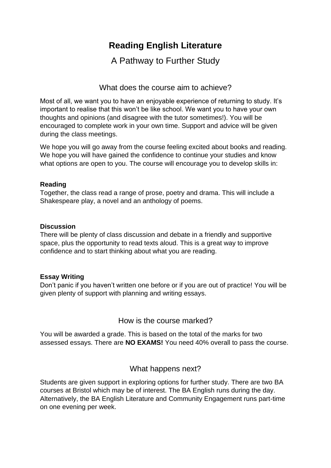# **Reading English Literature**

A Pathway to Further Study

What does the course aim to achieve?

Most of all, we want you to have an enjoyable experience of returning to study. It's important to realise that this won't be like school. We want you to have your own thoughts and opinions (and disagree with the tutor sometimes!). You will be encouraged to complete work in your own time. Support and advice will be given during the class meetings.

We hope you will go away from the course feeling excited about books and reading. We hope you will have gained the confidence to continue your studies and know what options are open to you. The course will encourage you to develop skills in:

## **Reading**

Together, the class read a range of prose, poetry and drama. This will include a Shakespeare play, a novel and an anthology of poems.

## **Discussion**

There will be plenty of class discussion and debate in a friendly and supportive space, plus the opportunity to read texts aloud. This is a great way to improve confidence and to start thinking about what you are reading.

# **Essay Writing**

Don't panic if you haven't written one before or if you are out of practice! You will be given plenty of support with planning and writing essays.

# How is the course marked?

You will be awarded a grade. This is based on the total of the marks for two assessed essays. There are **NO EXAMS!** You need 40% overall to pass the course.

# What happens next?

Students are given support in exploring options for further study. There are two BA courses at Bristol which may be of interest. The BA English runs during the day. Alternatively, the BA English Literature and Community Engagement runs part-time on one evening per week.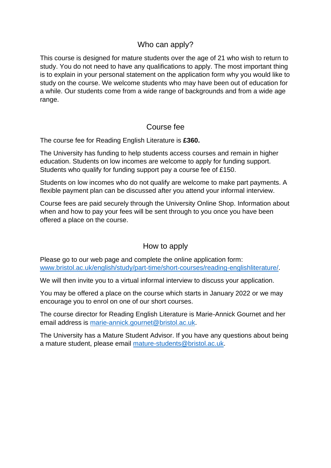# Who can apply?

This course is designed for mature students over the age of 21 who wish to return to study. You do not need to have any qualifications to apply. The most important thing is to explain in your personal statement on the application form why you would like to study on the course. We welcome students who may have been out of education for a while. Our students come from a wide range of backgrounds and from a wide age range.

# Course fee

The course fee for Reading English Literature is **£360.** 

The University has funding to help students access courses and remain in higher education. Students on low incomes are welcome to apply for funding support. Students who qualify for funding support pay a course fee of £150.

Students on low incomes who do not qualify are welcome to make part payments. A flexible payment plan can be discussed after you attend your informal interview.

Course fees are paid securely through the University Online Shop. Information about when and how to pay your fees will be sent through to you once you have been offered a place on the course.

# How to apply

Please go to our web page and complete the online application form: [www.bristol.ac.uk/english/study/part-time/short-courses/reading-englishliterature/.](http://www.bristol.ac.uk/english/study/part-time/short-courses/reading-englishliterature/)

We will then invite you to a virtual informal interview to discuss your application.

You may be offered a place on the course which starts in January 2022 or we may encourage you to enrol on one of our short courses.

The course director for Reading English Literature is Marie-Annick Gournet and her email address is [marie-annick.gournet@bristol.ac.uk.](mailto:marie-annick.gournet@bristol.ac.uk)

The University has a Mature Student Advisor. If you have any questions about being a mature student, please email [mature-students@bristol.ac.uk.](mailto:mature-students@bristol.ac.uk)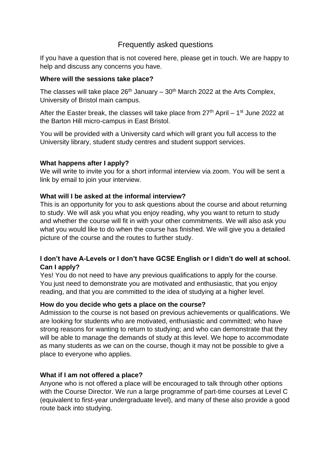# Frequently asked questions

If you have a question that is not covered here, please get in touch. We are happy to help and discuss any concerns you have.

## **Where will the sessions take place?**

The classes will take place  $26<sup>th</sup>$  January –  $30<sup>th</sup>$  March 2022 at the Arts Complex, University of Bristol main campus.

After the Easter break, the classes will take place from  $27<sup>th</sup>$  April – 1<sup>st</sup> June 2022 at the Barton Hill micro-campus in East Bristol.

You will be provided with a University card which will grant you full access to the University library, student study centres and student support services.

# **What happens after I apply?**

We will write to invite you for a short informal interview via zoom. You will be sent a link by email to join your interview.

## **What will I be asked at the informal interview?**

This is an opportunity for you to ask questions about the course and about returning to study. We will ask you what you enjoy reading, why you want to return to study and whether the course will fit in with your other commitments. We will also ask you what you would like to do when the course has finished. We will give you a detailed picture of the course and the routes to further study.

# **I don't have A-Levels or I don't have GCSE English or I didn't do well at school. Can I apply?**

Yes! You do not need to have any previous qualifications to apply for the course. You just need to demonstrate you are motivated and enthusiastic, that you enjoy reading, and that you are committed to the idea of studying at a higher level.

#### **How do you decide who gets a place on the course?**

Admission to the course is not based on previous achievements or qualifications. We are looking for students who are motivated, enthusiastic and committed; who have strong reasons for wanting to return to studying; and who can demonstrate that they will be able to manage the demands of study at this level. We hope to accommodate as many students as we can on the course, though it may not be possible to give a place to everyone who applies.

# **What if I am not offered a place?**

Anyone who is not offered a place will be encouraged to talk through other options with the Course Director. We run a large programme of part-time courses at Level C (equivalent to first-year undergraduate level), and many of these also provide a good route back into studying.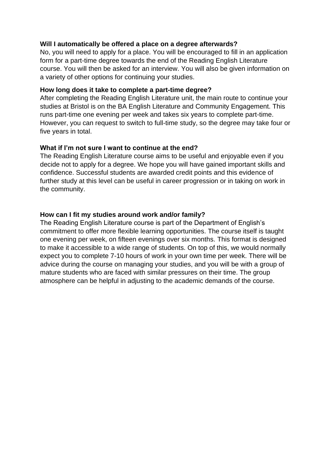#### **Will I automatically be offered a place on a degree afterwards?**

No, you will need to apply for a place. You will be encouraged to fill in an application form for a part-time degree towards the end of the Reading English Literature course. You will then be asked for an interview. You will also be given information on a variety of other options for continuing your studies.

#### **How long does it take to complete a part-time degree?**

After completing the Reading English Literature unit, the main route to continue your studies at Bristol is on the BA English Literature and Community Engagement. This runs part-time one evening per week and takes six years to complete part-time. However, you can request to switch to full-time study, so the degree may take four or five years in total.

## **What if I'm not sure I want to continue at the end?**

The Reading English Literature course aims to be useful and enjoyable even if you decide not to apply for a degree. We hope you will have gained important skills and confidence. Successful students are awarded credit points and this evidence of further study at this level can be useful in career progression or in taking on work in the community.

## **How can I fit my studies around work and/or family?**

The Reading English Literature course is part of the Department of English's commitment to offer more flexible learning opportunities. The course itself is taught one evening per week, on fifteen evenings over six months. This format is designed to make it accessible to a wide range of students. On top of this, we would normally expect you to complete 7-10 hours of work in your own time per week. There will be advice during the course on managing your studies, and you will be with a group of mature students who are faced with similar pressures on their time. The group atmosphere can be helpful in adjusting to the academic demands of the course.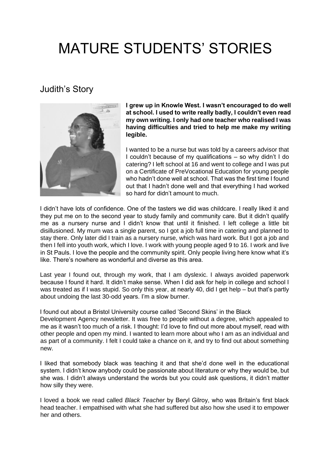# MATURE STUDENTS' STORIES

# Judith's Story



**I grew up in Knowle West. I wasn't encouraged to do well at school. I used to write really badly, I couldn't even read my own writing. I only had one teacher who realised I was having difficulties and tried to help me make my writing legible.**

I wanted to be a nurse but was told by a careers advisor that I couldn't because of my qualifications – so why didn't I do catering? I left school at 16 and went to college and I was put on a Certificate of PreVocational Education for young people who hadn't done well at school. That was the first time I found out that I hadn't done well and that everything I had worked so hard for didn't amount to much.

I didn't have lots of confidence. One of the tasters we did was childcare. I really liked it and they put me on to the second year to study family and community care. But it didn't qualify me as a nursery nurse and I didn't know that until it finished. I left college a little bit disillusioned. My mum was a single parent, so I got a job full time in catering and planned to stay there. Only later did I train as a nursery nurse, which was hard work. But I got a job and then I fell into youth work, which I love. I work with young people aged 9 to 16. I work and live in St Pauls. I love the people and the community spirit. Only people living here know what it's like. There's nowhere as wonderful and diverse as this area.

Last year I found out, through my work, that I am dyslexic. I always avoided paperwork because I found it hard. It didn't make sense. When I did ask for help in college and school I was treated as if I was stupid. So only this year, at nearly 40, did I get help – but that's partly about undoing the last 30-odd years. I'm a slow burner.

I found out about a Bristol University course called 'Second Skins' in the Black

Development Agency newsletter. It was free to people without a degree, which appealed to me as it wasn't too much of a risk. I thought: I'd love to find out more about myself, read with other people and open my mind. I wanted to learn more about who I am as an individual and as part of a community. I felt I could take a chance on it, and try to find out about something new.

I liked that somebody black was teaching it and that she'd done well in the educational system. I didn't know anybody could be passionate about literature or why they would be, but she was. I didn't always understand the words but you could ask questions, it didn't matter how silly they were.

I loved a book we read called *Black Teacher* by Beryl Gilroy, who was Britain's first black head teacher. I empathised with what she had suffered but also how she used it to empower her and others.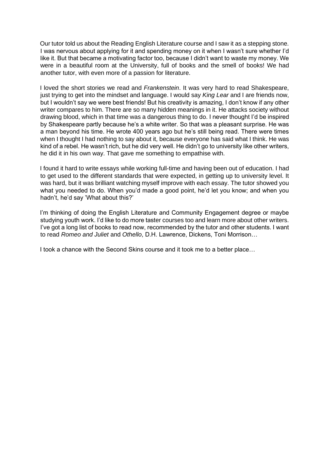Our tutor told us about the Reading English Literature course and I saw it as a stepping stone. I was nervous about applying for it and spending money on it when I wasn't sure whether I'd like it. But that became a motivating factor too, because I didn't want to waste my money. We were in a beautiful room at the University, full of books and the smell of books! We had another tutor, with even more of a passion for literature.

I loved the short stories we read and *Frankenstein*. It was very hard to read Shakespeare, just trying to get into the mindset and language. I would say *King Lear* and I are friends now, but I wouldn't say we were best friends! But his creativity is amazing, I don't know if any other writer compares to him. There are so many hidden meanings in it. He attacks society without drawing blood, which in that time was a dangerous thing to do. I never thought I'd be inspired by Shakespeare partly because he's a white writer. So that was a pleasant surprise. He was a man beyond his time. He wrote 400 years ago but he's still being read. There were times when I thought I had nothing to say about it, because everyone has said what I think. He was kind of a rebel. He wasn't rich, but he did very well. He didn't go to university like other writers, he did it in his own way. That gave me something to empathise with.

I found it hard to write essays while working full-time and having been out of education. I had to get used to the different standards that were expected, in getting up to university level. It was hard, but it was brilliant watching myself improve with each essay. The tutor showed you what you needed to do. When you'd made a good point, he'd let you know; and when you hadn't, he'd say 'What about this?'

I'm thinking of doing the English Literature and Community Engagement degree or maybe studying youth work. I'd like to do more taster courses too and learn more about other writers. I've got a long list of books to read now, recommended by the tutor and other students. I want to read *Romeo and Juliet* and *Othello*, D.H. Lawrence, Dickens, Toni Morrison…

I took a chance with the Second Skins course and it took me to a better place…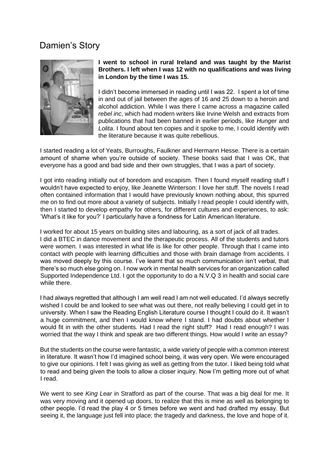# Damien's Story



#### **I went to school in rural Ireland and was taught by the Marist Brothers. I left when I was 12 with no qualifications and was living in London by the time I was 15.**

I didn't become immersed in reading until I was 22. I spent a lot of time in and out of jail between the ages of 16 and 25 down to a heroin and alcohol addiction. While I was there I came across a magazine called *rebel inc*, which had modern writers like Irvine Welsh and extracts from publications that had been banned in earlier periods, like *Hunger* and *Lolita*. I found about ten copies and it spoke to me, I could identify with the literature because it was quite rebellious.

I started reading a lot of Yeats, Burroughs, Faulkner and Hermann Hesse. There is a certain amount of shame when you're outside of society. These books said that I was OK, that everyone has a good and bad side and their own struggles, that I was a part of society.

I got into reading initially out of boredom and escapism. Then I found myself reading stuff I wouldn't have expected to enjoy, like Jeanette Winterson: I love her stuff. The novels I read often contained information that I would have previously known nothing about, this spurred me on to find out more about a variety of subjects. Initially I read people I could identify with, then I started to develop empathy for others, for different cultures and experiences, to ask: 'What's it like for you?' I particularly have a fondness for Latin American literature.

I worked for about 15 years on building sites and labouring, as a sort of jack of all trades. I did a BTEC in dance movement and the therapeutic process. All of the students and tutors were women. I was interested in what life is like for other people. Through that I came into contact with people with learning difficulties and those with brain damage from accidents. I was moved deeply by this course. I've learnt that so much communication isn't verbal, that there's so much else going on. I now work in mental health services for an organization called Supported Independence Ltd. I got the opportunity to do a N.V.Q 3 in health and social care while there.

I had always regretted that although I am well read I am not well educated. I'd always secretly wished I could be and looked to see what was out there, not really believing I could get in to university. When I saw the Reading English Literature course I thought I could do it. It wasn't a huge commitment, and then I would know where I stand. I had doubts about whether I would fit in with the other students. Had I read the right stuff? Had I read enough? I was worried that the way I think and speak are two different things. How would I write an essay?

But the students on the course were fantastic, a wide variety of people with a common interest in literature. It wasn't how I'd imagined school being, it was very open. We were encouraged to give our opinions. I felt I was giving as well as getting from the tutor. I liked being told what to read and being given the tools to allow a closer inquiry. Now I'm getting more out of what I read.

We went to see *King Lear* in Stratford as part of the course. That was a big deal for me. It was very moving and it opened up doors, to realize that this is mine as well as belonging to other people. I'd read the play 4 or 5 times before we went and had drafted my essay. But seeing it, the language just fell into place; the tragedy and darkness, the love and hope of it.